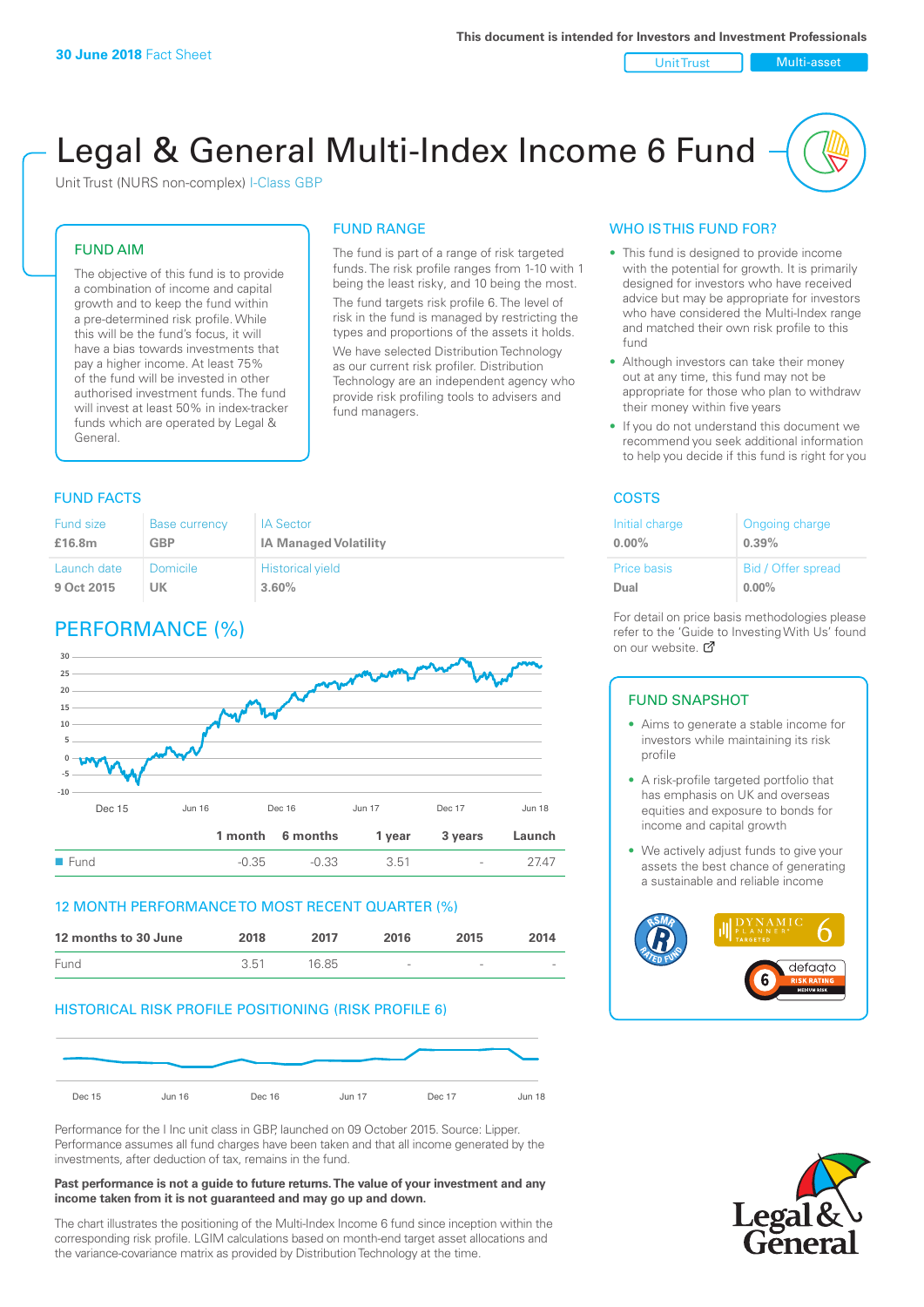#### Unit Trust Nulti-asset

# Legal & General Multi-Index Income 6 Fund

Unit Trust (NURS non-complex) I-Class GBP

## FUND AIM

The objective of this fund is to provide a combination of income and capital growth and to keep the fund within a pre-determined risk profile. While this will be the fund's focus, it will have a bias towards investments that pay a higher income. At least 75% of the fund will be invested in other authorised investment funds. The fund will invest at least 50% in index-tracker funds which are operated by Legal & General.

## FUND RANGE

The fund is part of a range of risk targeted funds. The risk profile ranges from 1-10 with 1 being the least risky, and 10 being the most. The fund targets risk profile 6. The level of risk in the fund is managed by restricting the

types and proportions of the assets it holds. We have selected Distribution Technology as our current risk profiler. Distribution Technology are an independent agency who provide risk profiling tools to advisers and fund managers.

### **FUND FACTS** COSTS

| Fund size   | <b>Base currency</b> | <b>IA Sector</b>             |
|-------------|----------------------|------------------------------|
| £16.8m      | GBP                  | <b>IA Managed Volatility</b> |
| Launch date | Domicile             | <b>Historical yield</b>      |
| 9 Oct 2015  | UK                   | 3.60%                        |

## PERFORMANCE (%)



## 12 MONTH PERFORMANCE TO MOST RECENT QUARTER (%)

| 12 months to 30 June | 2018 | 2017  | 2016                     | 2015   | 2014                     |
|----------------------|------|-------|--------------------------|--------|--------------------------|
| Fund                 | 3.51 | 16.85 | $\overline{\phantom{a}}$ | $\sim$ | $\overline{\phantom{a}}$ |

## HISTORICAL RISK PROFILE POSITIONING (RISK PROFILE 6)



Performance for the I Inc unit class in GBP, launched on 09 October 2015. Source: Lipper. Performance assumes all fund charges have been taken and that all income generated by the investments, after deduction of tax, remains in the fund.

#### **Past performance is not a guide to future returns. The value of your investment and any income taken from it is not guaranteed and may go up and down.**

The chart illustrates the positioning of the Multi-Index Income 6 fund since inception within the corresponding risk profile. LGIM calculations based on month-end target asset allocations and the variance-covariance matrix as provided by Distribution Technology at the time.

## WHO IS THIS FUND FOR?

- This fund is designed to provide income with the potential for growth. It is primarily designed for investors who have received advice but may be appropriate for investors who have considered the Multi-Index range and matched their own risk profile to this fund
- Although investors can take their money out at any time, this fund may not be appropriate for those who plan to withdraw their money within five years
- If you do not understand this document we recommend you seek additional information to help you decide if this fund is right for you

| Initial charge | Ongoing charge     |
|----------------|--------------------|
| $0.00\%$       | 0.39%              |
| Price basis    | Bid / Offer spread |
| Dual           | $0.00\%$           |

For detail on price basis methodologies please refer to the 'Gu[ide t](http://www.legalandgeneral.com/guide)o Investing With Us' found on our website. Ø

#### FUND SNAPSHOT

- Aims to generate a stable income for investors while maintaining its risk profile
- A risk-profile targeted portfolio that has emphasis on UK and overseas equities and exposure to bonds for income and capital growth
- We actively adjust funds to give your assets the best chance of generating a sustainable and reliable income



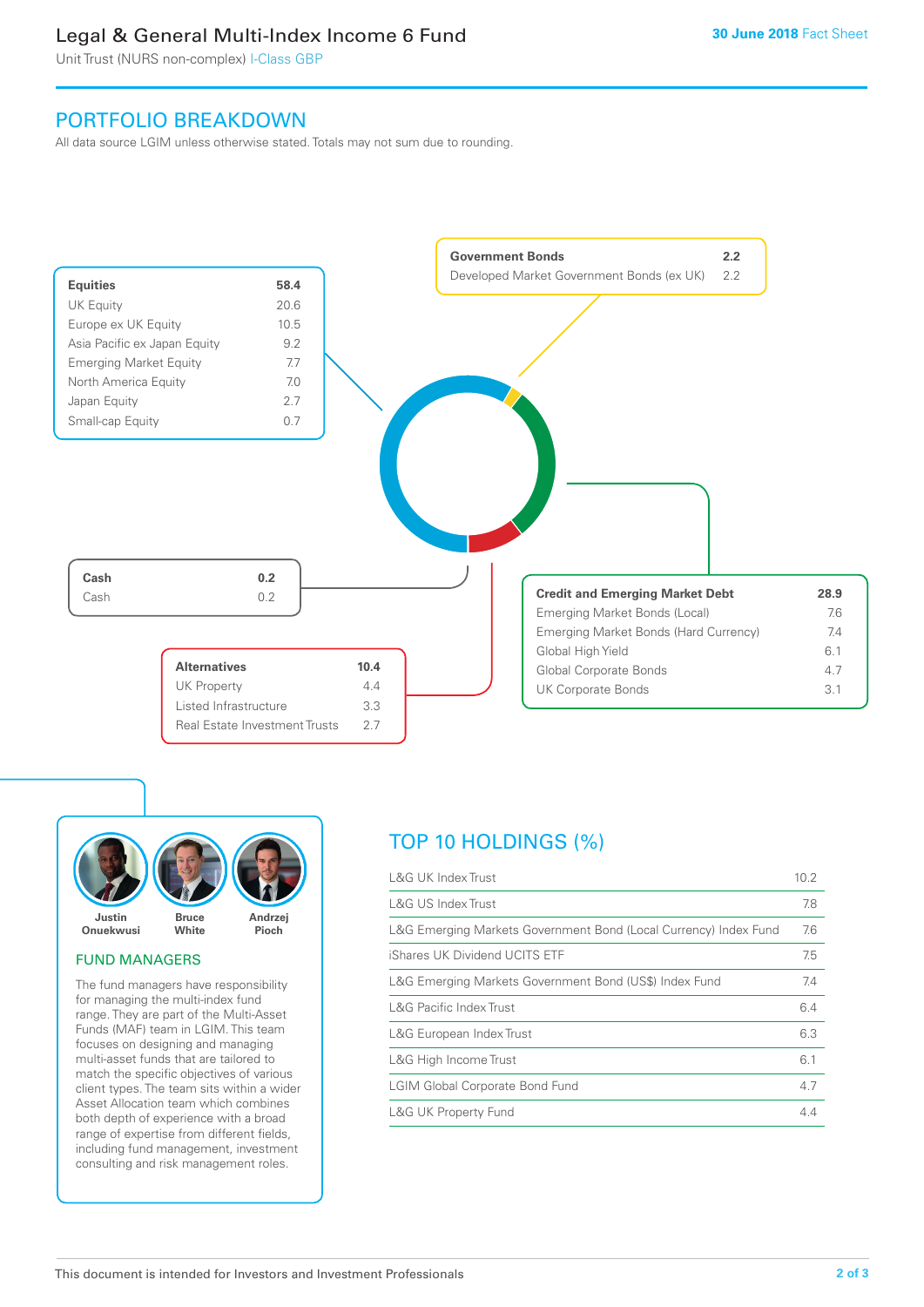## Legal & General Multi-Index Income 6 Fund

Unit Trust (NURS non-complex) I-Class GBP

## PORTFOLIO BREAKDOWN

All data source LGIM unless otherwise stated. Totals may not sum due to rounding.





## FUND MANAGERS

The fund managers have responsibility for managing the multi-index fund range. They are part of the Multi-Asset Funds (MAF) team in LGIM. This team focuses on designing and managing multi-asset funds that are tailored to match the specific objectives of various client types. The team sits within a wider Asset Allocation team which combines both depth of experience with a broad range of expertise from different fields, including fund management, investment consulting and risk management roles.

## TOP 10 HOLDINGS (%)

| <b>L&amp;G UK Index Trust</b>                                    | 10.2 |
|------------------------------------------------------------------|------|
| L&G US Index Trust                                               | 7.8  |
| L&G Emerging Markets Government Bond (Local Currency) Index Fund | 7.6  |
| iShares UK Dividend UCITS ETF                                    | 7.5  |
| L&G Emerging Markets Government Bond (US\$) Index Fund           | 7.4  |
| <b>L&amp;G Pacific Index Trust</b>                               | 6.4  |
| L&G European Index Trust                                         | 6.3  |
| L&G High Income Trust                                            | 6.1  |
| <b>LGIM Global Corporate Bond Fund</b>                           | 4.7  |
| <b>L&amp;G UK Property Fund</b>                                  | 4.4  |